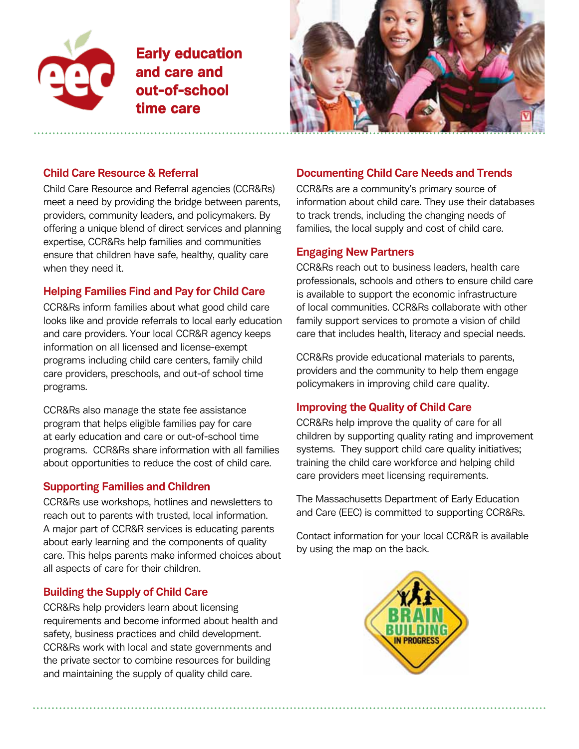

Early education and care and out-of-school time care



### **Child Care Resource & Referral**

Child Care Resource and Referral agencies (CCR&Rs) meet a need by providing the bridge between parents, providers, community leaders, and policymakers. By offering a unique blend of direct services and planning expertise, CCR&Rs help families and communities ensure that children have safe, healthy, quality care when they need it.

## **Helping Families Find and Pay for Child Care**

CCR&Rs inform families about what good child care looks like and provide referrals to local early education and care providers. Your local CCR&R agency keeps information on all licensed and license-exempt programs including child care centers, family child care providers, preschools, and out-of school time programs.

CCR&Rs also manage the state fee assistance program that helps eligible families pay for care at early education and care or out-of-school time programs. CCR&Rs share information with all families about opportunities to reduce the cost of child care.

### **Supporting Families and Children**

CCR&Rs use workshops, hotlines and newsletters to reach out to parents with trusted, local information. A major part of CCR&R services is educating parents about early learning and the components of quality care. This helps parents make informed choices about all aspects of care for their children.

# **Building the Supply of Child Care**

CCR&Rs help providers learn about licensing requirements and become informed about health and safety, business practices and child development. CCR&Rs work with local and state governments and the private sector to combine resources for building and maintaining the supply of quality child care.

# **Documenting Child Care Needs and Trends**

CCR&Rs are a community's primary source of information about child care. They use their databases to track trends, including the changing needs of families, the local supply and cost of child care.

## **Engaging New Partners**

CCR&Rs reach out to business leaders, health care professionals, schools and others to ensure child care is available to support the economic infrastructure of local communities. CCR&Rs collaborate with other family support services to promote a vision of child care that includes health, literacy and special needs.

CCR&Rs provide educational materials to parents, providers and the community to help them engage policymakers in improving child care quality.

# **Improving the Quality of Child Care**

CCR&Rs help improve the quality of care for all children by supporting quality rating and improvement systems. They support child care quality initiatives; training the child care workforce and helping child care providers meet licensing requirements.

The Massachusetts Department of Early Education and Care (EEC) is committed to supporting CCR&Rs.

Contact information for your local CCR&R is available by using the map on the back.